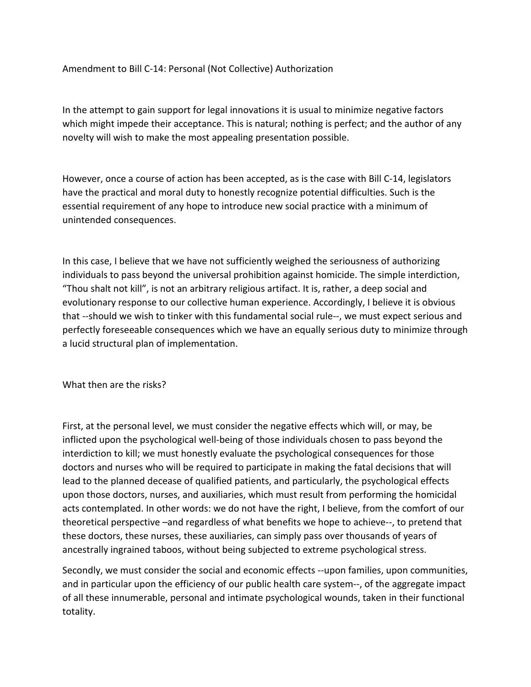Amendment to Bill C-14: Personal (Not Collective) Authorization

In the attempt to gain support for legal innovations it is usual to minimize negative factors which might impede their acceptance. This is natural; nothing is perfect; and the author of any novelty will wish to make the most appealing presentation possible.

However, once a course of action has been accepted, as is the case with Bill C-14, legislators have the practical and moral duty to honestly recognize potential difficulties. Such is the essential requirement of any hope to introduce new social practice with a minimum of unintended consequences.

In this case, I believe that we have not sufficiently weighed the seriousness of authorizing individuals to pass beyond the universal prohibition against homicide. The simple interdiction, "Thou shalt not kill", is not an arbitrary religious artifact. It is, rather, a deep social and evolutionary response to our collective human experience. Accordingly, I believe it is obvious that --should we wish to tinker with this fundamental social rule--, we must expect serious and perfectly foreseeable consequences which we have an equally serious duty to minimize through a lucid structural plan of implementation.

What then are the risks?

First, at the personal level, we must consider the negative effects which will, or may, be inflicted upon the psychological well-being of those individuals chosen to pass beyond the interdiction to kill; we must honestly evaluate the psychological consequences for those doctors and nurses who will be required to participate in making the fatal decisions that will lead to the planned decease of qualified patients, and particularly, the psychological effects upon those doctors, nurses, and auxiliaries, which must result from performing the homicidal acts contemplated. In other words: we do not have the right, I believe, from the comfort of our theoretical perspective –and regardless of what benefits we hope to achieve--, to pretend that these doctors, these nurses, these auxiliaries, can simply pass over thousands of years of ancestrally ingrained taboos, without being subjected to extreme psychological stress.

Secondly, we must consider the social and economic effects --upon families, upon communities, and in particular upon the efficiency of our public health care system--, of the aggregate impact of all these innumerable, personal and intimate psychological wounds, taken in their functional totality.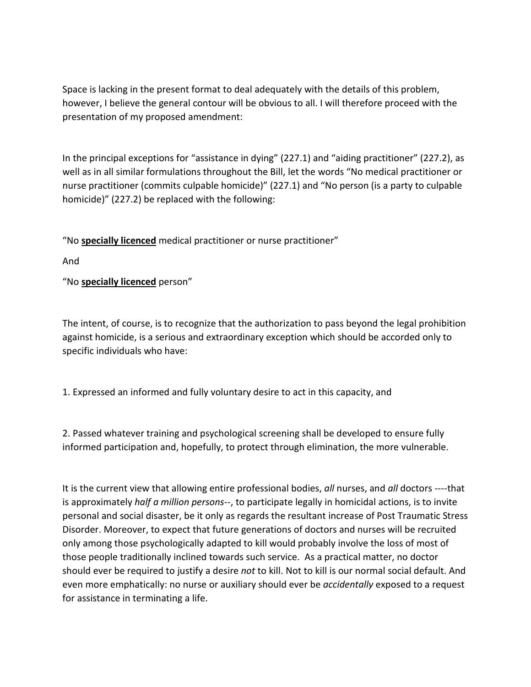Space is lacking in the present format to deal adequately with the details of this problem, however, I believe the general contour will be obvious to all. I will therefore proceed with the presentation of my proposed amendment:

In the principal exceptions for "assistance in dying" (227.1) and "aiding practitioner" (227.2), as well as in all similar formulations throughout the Bill, let the words "No medical practitioner or nurse practitioner (commits culpable homicide)" (227.1) and "No person (is a party to culpable homicide)" (227.2) be replaced with the following:

"No **specially licenced** medical practitioner or nurse practitioner"

And

"No **specially licenced** person"

The intent, of course, is to recognize that the authorization to pass beyond the legal prohibition against homicide, is a serious and extraordinary exception which should be accorded only to specific individuals who have:

1. Expressed an informed and fully voluntary desire to act in this capacity, and

2. Passed whatever training and psychological screening shall be developed to ensure fully informed participation and, hopefully, to protect through elimination, the more vulnerable.

It is the current view that allowing entire professional bodies, *all* nurses, and *all* doctors ----that is approximately *half a million persons*--, to participate legally in homicidal actions, is to invite personal and social disaster, be it only as regards the resultant increase of Post Traumatic Stress Disorder. Moreover, to expect that future generations of doctors and nurses will be recruited only among those psychologically adapted to kill would probably involve the loss of most of those people traditionally inclined towards such service. As a practical matter, no doctor should ever be required to justify a desire *not* to kill. Not to kill is our normal social default. And even more emphatically: no nurse or auxiliary should ever be *accidentally* exposed to a request for assistance in terminating a life.